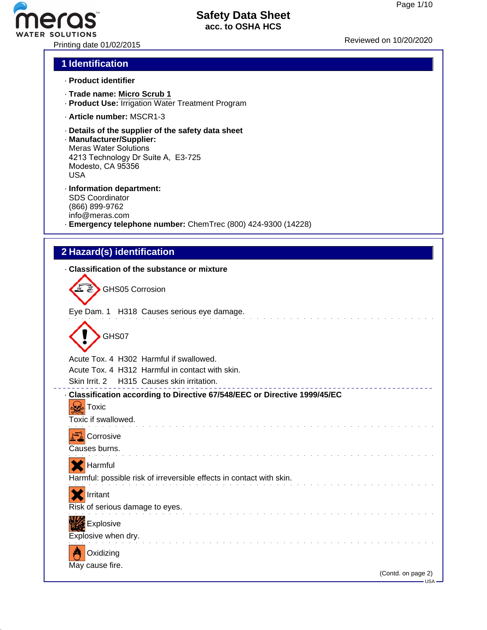PRISOLUTIONS<br>Printing date 01/02/2015 Reviewed on 10/20/2020

## **1 Identification**

- · **Product identifier**
- · **Trade name: Micro Scrub 1**
- · **Product Use:** Irrigation Water Treatment Program
- · **Article number:** MSCR1-3
- · **Details of the supplier of the safety data sheet**
- · **Manufacturer/Supplier:** Meras Water Solutions 4213 Technology Dr Suite A, E3-725 Modesto, CA 95356 USA
- · **Information department:** SDS Coordinator (866) 899-9762 info@meras.com · **Emergency telephone number:** ChemTrec (800) 424-9300 (14228)

## **2 Hazard(s) identification**

#### · **Classification of the substance or mixture**

| <b>K &amp; GHS05 Corrosion</b>             |
|--------------------------------------------|
| Eye Dam. 1 H318 Causes serious eye damage. |
|                                            |

| GHS07 |
|-------|
|       |

Acute Tox. 4 H302 Harmful if swallowed.

Acute Tox. 4 H312 Harmful in contact with skin.

Skin Irrit. 2 H315 Causes skin irritation.

#### · **Classification according to Directive 67/548/EEC or Directive 1999/45/EC**

 $\mathcal{L}$  . The set of the set of the set of the set of the set of the set of the set of the set of the set of the set of the set of the set of the set of the set of the set of the set of the set of the set of the set of t

and the contract of the contract of

and a straightful and a straight and a

**Toxic** Toxic if swallowed.

| Corrosive     |
|---------------|
| Causes burns. |

Harmful

|  |  |  | $\left  \bullet \bullet \right $ required to |  |  |  |  |  |  |  |  |  |  |  |                                                                      |  |  |
|--|--|--|----------------------------------------------|--|--|--|--|--|--|--|--|--|--|--|----------------------------------------------------------------------|--|--|
|  |  |  |                                              |  |  |  |  |  |  |  |  |  |  |  | Harmful: possible risk of irreversible effects in contact with skin. |  |  |
|  |  |  |                                              |  |  |  |  |  |  |  |  |  |  |  |                                                                      |  |  |

| . |                                 |  |
|---|---------------------------------|--|
|   | Risk of serious damage to eyes. |  |



Irritant



May cause fire.

\_\_\_\_\_\_\_\_\_\_\_\_\_\_\_\_\_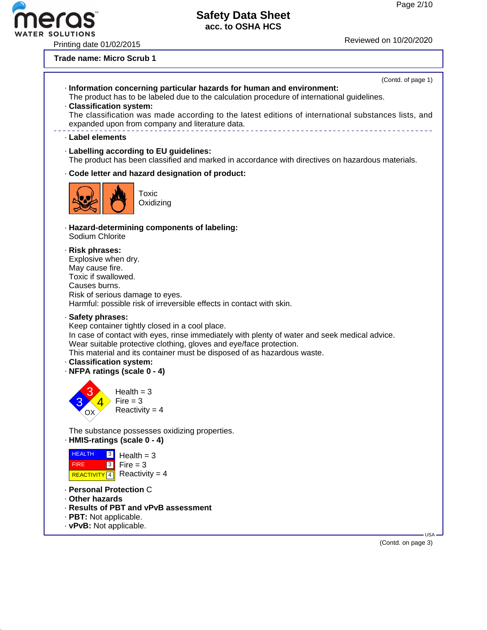R SOLUTIONS

# Printing date 01/02/2015 **Printing** date 01/02/2020

**Trade name: Micro Scrub 1**

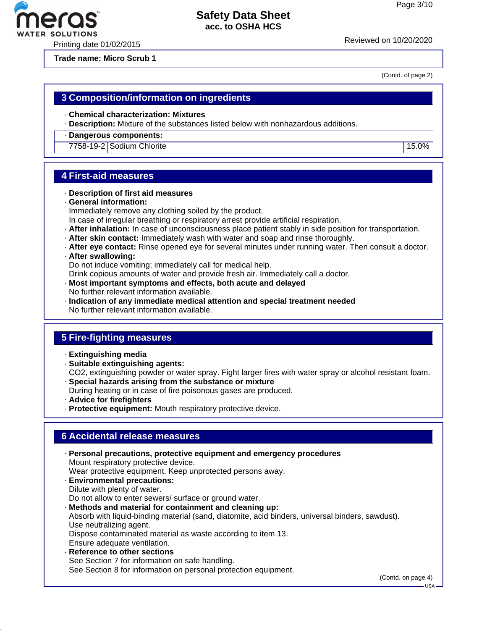Printing date 01/02/2015

**Trade name: Micro Scrub 1**

(Contd. of page 2)

## **3 Composition/information on ingredients**

- · **Chemical characterization: Mixtures**
- · **Description:** Mixture of the substances listed below with nonhazardous additions.
- · **Dangerous components:**

7758-19-2 Sodium Chlorite 15.0%

## **4 First-aid measures**

- · **Description of first aid measures**
- · **General information:** Immediately remove any clothing soiled by the product.
- In case of irregular breathing or respiratory arrest provide artificial respiration.
- · **After inhalation:** In case of unconsciousness place patient stably in side position for transportation.
- · **After skin contact:** Immediately wash with water and soap and rinse thoroughly.
- · **After eye contact:** Rinse opened eye for several minutes under running water. Then consult a doctor.
- · **After swallowing:**

Do not induce vomiting; immediately call for medical help.

Drink copious amounts of water and provide fresh air. Immediately call a doctor.

- · **Most important symptoms and effects, both acute and delayed** No further relevant information available.
- · **Indication of any immediate medical attention and special treatment needed** No further relevant information available.

## **5 Fire-fighting measures**

- · **Extinguishing media**
- · **Suitable extinguishing agents:** CO2, extinguishing powder or water spray. Fight larger fires with water spray or alcohol resistant foam.
- · **Special hazards arising from the substance or mixture**
- During heating or in case of fire poisonous gases are produced.
- · **Advice for firefighters**
- · **Protective equipment:** Mouth respiratory protective device.

## **6 Accidental release measures**

- · **Personal precautions, protective equipment and emergency procedures** Mount respiratory protective device. Wear protective equipment. Keep unprotected persons away. · **Environmental precautions:** Dilute with plenty of water. Do not allow to enter sewers/ surface or ground water. · **Methods and material for containment and cleaning up:** Absorb with liquid-binding material (sand, diatomite, acid binders, universal binders, sawdust). Use neutralizing agent. Dispose contaminated material as waste according to item 13. Ensure adequate ventilation. · **Reference to other sections**
	- See Section 7 for information on safe handling. See Section 8 for information on personal protection equipment.

(Contd. on page 4)



USA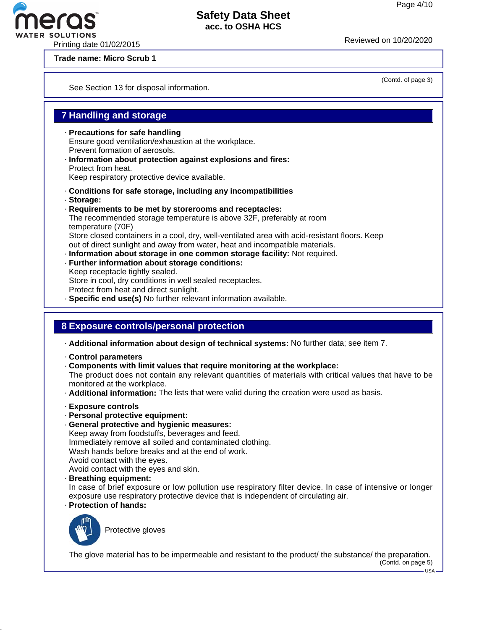Printing date 01/02/2015 Reviewed on 10/20/20<sup>20</sup>

**Trade name: Micro Scrub 1**

See Section 13 for disposal information.

# **7 Handling and storage**

- · **Precautions for safe handling** Ensure good ventilation/exhaustion at the workplace. Prevent formation of aerosols.
- · **Information about protection against explosions and fires:** Protect from heat.

Keep respiratory protective device available.

- · **Conditions for safe storage, including any incompatibilities**
- · **Storage:**
- · **Requirements to be met by storerooms and receptacles:** The recommended storage temperature is above 32F, preferably at room temperature (70F) Store closed containers in a cool, dry, well-ventilated area with acid-resistant floors. Keep out of direct sunlight and away from water, heat and incompatible materials. · **Information about storage in one common storage facility:** Not required.
- · **Further information about storage conditions:** Keep receptacle tightly sealed. Store in cool, dry conditions in well sealed receptacles. Protect from heat and direct sunlight. · **Specific end use(s)** No further relevant information available.

# **8 Exposure controls/personal protection**

- · **Additional information about design of technical systems:** No further data; see item 7.
- · **Control parameters**

· **Components with limit values that require monitoring at the workplace:** The product does not contain any relevant quantities of materials with critical values that have to be monitored at the workplace.

- · **Additional information:** The lists that were valid during the creation were used as basis.
- · **Exposure controls**
- · **Personal protective equipment:**
- · **General protective and hygienic measures:**

Keep away from foodstuffs, beverages and feed. Immediately remove all soiled and contaminated clothing. Wash hands before breaks and at the end of work. Avoid contact with the eyes. Avoid contact with the eyes and skin.

· **Breathing equipment:**

In case of brief exposure or low pollution use respiratory filter device. In case of intensive or longer exposure use respiratory protective device that is independent of circulating air.

· **Protection of hands:**



Protective gloves

The glove material has to be impermeable and resistant to the product/ the substance/ the preparation. (Contd. on page 5)

(Contd. of page 3)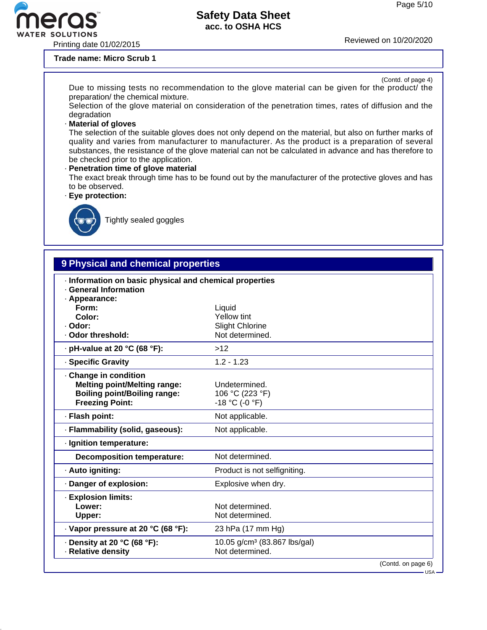$-$ USA -

## **Safety Data Sheet acc. to OSHA HCS**

Printing date 01/02/2015 Reviewed on 10/20/20<sup>20</sup>

ero

#### **Trade name: Micro Scrub 1**

| (Contd. of page 4)<br>Due to missing tests no recommendation to the glove material can be given for the product/ the<br>preparation/ the chemical mixture.                                                                                                                                                                                                    |
|---------------------------------------------------------------------------------------------------------------------------------------------------------------------------------------------------------------------------------------------------------------------------------------------------------------------------------------------------------------|
| Selection of the glove material on consideration of the penetration times, rates of diffusion and the<br>degradation                                                                                                                                                                                                                                          |
| Material of gloves                                                                                                                                                                                                                                                                                                                                            |
| The selection of the suitable gloves does not only depend on the material, but also on further marks of<br>quality and varies from manufacturer to manufacturer. As the product is a preparation of several<br>substances, the resistance of the glove material can not be calculated in advance and has therefore to<br>be checked prior to the application. |
| - Penetration time of glove material<br>The exact break through time has to be found out by the manufacturer of the protective gloves and has<br>to be observed.                                                                                                                                                                                              |
| · Eye protection:                                                                                                                                                                                                                                                                                                                                             |



Tightly sealed goggles

# **9 Physical and chemical properties** · **Information on basic physical and chemical properties** · **General Information** · **Appearance: Form:** Liquid **Color:** Yellow tint · Odor: Slight Chlorine · Odor threshold: Not determined. · **pH-value at 20 °C (68 °F):** >12 · **Specific Gravity** 1.2 - 1.23 · **Change in condition Melting point/Melting range:** Undetermined.<br>**Boiling point/Boiling range:** 106 °C (223 °F) **Boiling point/Boiling range: Freezing Point:**  $-18 \degree C (-0 \degree F)$ · **Flash point:** Not applicable. · **Flammability (solid, gaseous):** Not applicable. · **Ignition temperature: Decomposition temperature:** Not determined. · **Auto igniting:** Product is not selfigniting. · **Danger of explosion:** Explosive when dry. · **Explosion limits:** Lower: Not determined. Upper: Not determined. · **Vapor pressure at 20 °C (68 °F):** 23 hPa (17 mm Hg) · **Density at 20 °C (68 °F):** 10.05 g/cm<sup>3</sup> (83.867 lbs/gal)<br>· **Relative density Not determined.** · Relative density (Contd. on page 6)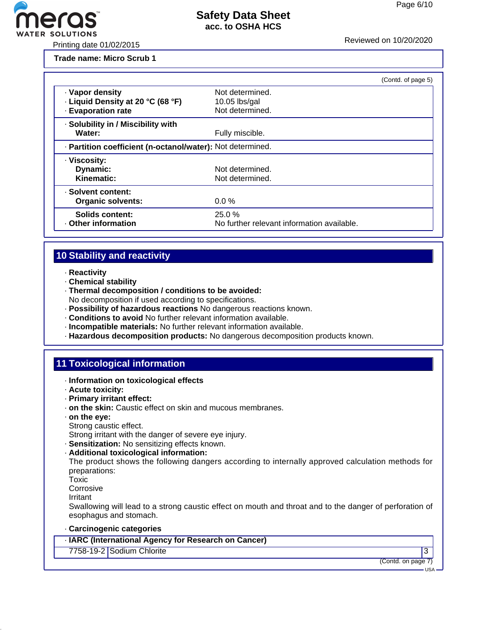

Printing date 01/02/2015 Reviewed on 10/20/20<sup>20</sup>

**Trade name: Micro Scrub 1**

|                                                                            |                                                       | (Contd. of page 5) |
|----------------------------------------------------------------------------|-------------------------------------------------------|--------------------|
| · Vapor density<br>· Liquid Density at 20 °C (68 °F)<br>- Evaporation rate | Not determined.<br>$10.05$ lbs/gal<br>Not determined. |                    |
| · Solubility in / Miscibility with<br>Water:                               | Fully miscible.                                       |                    |
| - Partition coefficient (n-octanol/water): Not determined.                 |                                                       |                    |
| · Viscosity:<br>Dynamic:<br>Kinematic:                                     | Not determined.<br>Not determined.                    |                    |
| · Solvent content:<br><b>Organic solvents:</b>                             | $0.0\%$                                               |                    |
| Solids content:<br>Other information                                       | 25.0%<br>No further relevant information available.   |                    |

# **10 Stability and reactivity**

- · **Reactivity**
- · **Chemical stability**
- · **Thermal decomposition / conditions to be avoided:**
- No decomposition if used according to specifications.
- · **Possibility of hazardous reactions** No dangerous reactions known.
- · **Conditions to avoid** No further relevant information available.
- · **Incompatible materials:** No further relevant information available.
- · **Hazardous decomposition products:** No dangerous decomposition products known.

# **11 Toxicological information**

- · **Information on toxicological effects**
- · **Acute toxicity:**
- · **Primary irritant effect:**
- · **on the skin:** Caustic effect on skin and mucous membranes.
- · **on the eye:**
- Strong caustic effect.

Strong irritant with the danger of severe eye injury.

- · **Sensitization:** No sensitizing effects known.
- · **Additional toxicological information:**

The product shows the following dangers according to internally approved calculation methods for preparations:

Toxic

Corrosive

Irritant

Swallowing will lead to a strong caustic effect on mouth and throat and to the danger of perforation of esophagus and stomach.

#### · **Carcinogenic categories**

· **IARC (International Agency for Research on Cancer)**

7758-19-2 Sodium Chlorite 3

(Contd. on page 7)

USA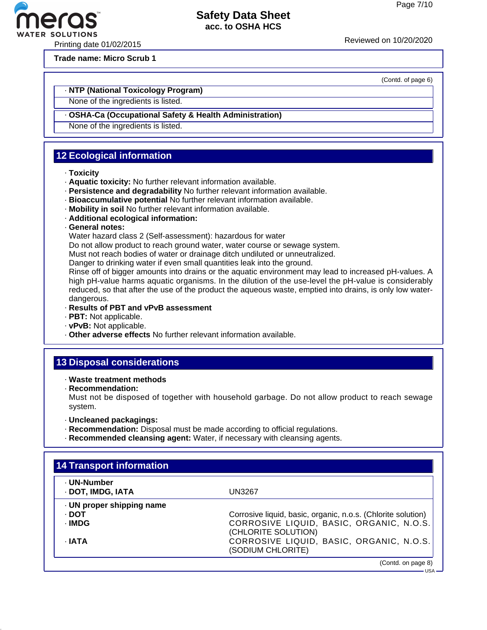(Contd. of page 6)

## **Safety Data Sheet acc. to OSHA HCS**

Printing date 01/02/2015 Reviewed on 10/20/20<sup>20</sup>

ER SOLUTIONS

**Trade name: Micro Scrub 1**

#### · **NTP (National Toxicology Program)**

None of the ingredients is listed.

#### · **OSHA-Ca (Occupational Safety & Health Administration)**

None of the ingredients is listed.

# **12 Ecological information**

- · **Toxicity**
- · **Aquatic toxicity:** No further relevant information available.
- · **Persistence and degradability** No further relevant information available.
- · **Bioaccumulative potential** No further relevant information available.
- · **Mobility in soil** No further relevant information available.
- · **Additional ecological information:**
- · **General notes:**

Water hazard class 2 (Self-assessment): hazardous for water

Do not allow product to reach ground water, water course or sewage system.

Must not reach bodies of water or drainage ditch undiluted or unneutralized.

Danger to drinking water if even small quantities leak into the ground.

Rinse off of bigger amounts into drains or the aquatic environment may lead to increased pH-values. A high pH-value harms aquatic organisms. In the dilution of the use-level the pH-value is considerably reduced, so that after the use of the product the aqueous waste, emptied into drains, is only low waterdangerous.

- · **Results of PBT and vPvB assessment**
- · **PBT:** Not applicable.
- · **vPvB:** Not applicable.
- · **Other adverse effects** No further relevant information available.

# **13 Disposal considerations**

- · **Waste treatment methods**
- · **Recommendation:**

Must not be disposed of together with household garbage. Do not allow product to reach sewage system.

- · **Uncleaned packagings:**
- · **Recommendation:** Disposal must be made according to official regulations.
- · **Recommended cleansing agent:** Water, if necessary with cleansing agents.

| · UN-Number             |                                                              |
|-------------------------|--------------------------------------------------------------|
| · DOT, IMDG, IATA       | <b>UN3267</b>                                                |
| UN proper shipping name |                                                              |
| · DOT                   | Corrosive liquid, basic, organic, n.o.s. (Chlorite solution) |
| · IMDG                  | CORROSIVE LIQUID, BASIC, ORGANIC, N.O.S.                     |
|                         | (CHLORITE SOLUTION)                                          |
| · IATA                  | CORROSIVE LIQUID, BASIC, ORGANIC, N.O.S.                     |
|                         | (SODIUM CHLORITE)                                            |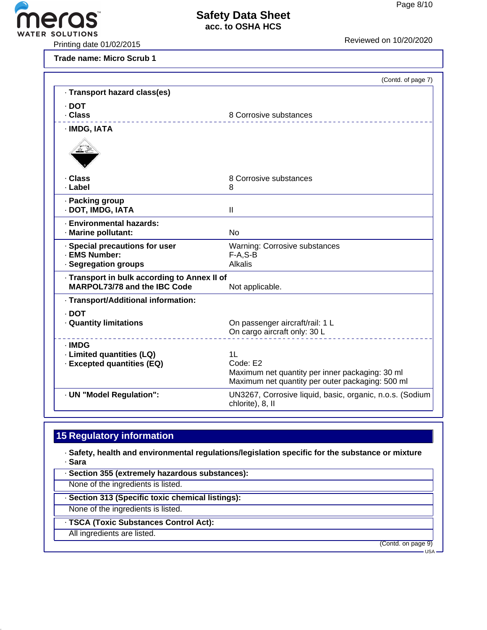

**Trade name: Micro Scrub 1**

|                                              | (Contd. of page 7)                                                                                  |
|----------------------------------------------|-----------------------------------------------------------------------------------------------------|
| · Transport hazard class(es)                 |                                                                                                     |
| $\cdot$ DOT                                  |                                                                                                     |
| . Class                                      | 8 Corrosive substances                                                                              |
| · IMDG, IATA                                 |                                                                                                     |
|                                              |                                                                                                     |
| · Class                                      | 8 Corrosive substances                                                                              |
| · Label                                      | 8                                                                                                   |
| · Packing group                              |                                                                                                     |
| · DOT, IMDG, IATA                            | Ш                                                                                                   |
| · Environmental hazards:                     |                                                                                                     |
| · Marine pollutant:                          | <b>No</b>                                                                                           |
| · Special precautions for user               | <b>Warning: Corrosive substances</b>                                                                |
| - EMS Number:                                | $F-A, S-B$                                                                                          |
| · Segregation groups                         | <b>Alkalis</b>                                                                                      |
| · Transport in bulk according to Annex II of |                                                                                                     |
| MARPOL73/78 and the IBC Code                 | Not applicable.                                                                                     |
| · Transport/Additional information:          |                                                                                                     |
| · DOT                                        |                                                                                                     |
| · Quantity limitations                       | On passenger aircraft/rail: 1 L                                                                     |
|                                              | On cargo aircraft only: 30 L                                                                        |
| · IMDG                                       |                                                                                                     |
| · Limited quantities (LQ)                    | 1 <sub>L</sub>                                                                                      |
| · Excepted quantities (EQ)                   | Code: E2                                                                                            |
|                                              | Maximum net quantity per inner packaging: 30 ml<br>Maximum net quantity per outer packaging: 500 ml |
| · UN "Model Regulation":                     | UN3267, Corrosive liquid, basic, organic, n.o.s. (Sodium                                            |
|                                              | chlorite), 8, II                                                                                    |

# **15 Regulatory information**

· **Safety, health and environmental regulations/legislation specific for the substance or mixture** · **Sara**

· **Section 355 (extremely hazardous substances):**

None of the ingredients is listed.

· **Section 313 (Specific toxic chemical listings):**

None of the ingredients is listed.

· **TSCA (Toxic Substances Control Act):**

All ingredients are listed.

(Contd. on page 9)

- USA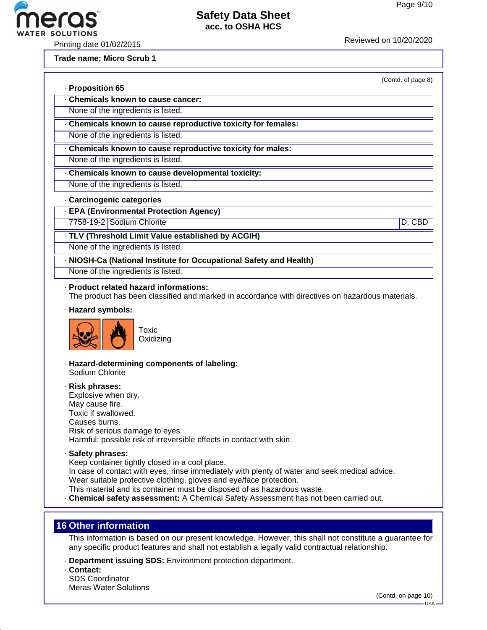Printing date 01/02/2015

**ER SOLUTIONS** 

#### **Trade name: Micro Scrub 1**

(Contd. of page 8)

| · Proposition 65                 |  |
|----------------------------------|--|
| Chemicals known to cause cancer: |  |

None of the ingredients is listed.

· **Chemicals known to cause reproductive toxicity for females:**

None of the ingredients is listed.

· **Chemicals known to cause reproductive toxicity for males:**

None of the ingredients is listed.

· **Chemicals known to cause developmental toxicity:**

None of the ingredients is listed.

#### · **Carcinogenic categories**

· **EPA (Environmental Protection Agency)**

7758-19-2 Sodium Chlorite D, CBD

· **TLV (Threshold Limit Value established by ACGIH)**

None of the ingredients is listed.

· **NIOSH-Ca (National Institute for Occupational Safety and Health)**

None of the ingredients is listed.

#### · **Product related hazard informations:**

The product has been classified and marked in accordance with directives on hazardous materials.

· **Hazard symbols:**



· **Hazard-determining components of labeling:** Sodium Chlorite

· **Risk phrases:** Explosive when dry. May cause fire. Toxic if swallowed. Causes burns. Risk of serious damage to eyes. Harmful: possible risk of irreversible effects in contact with skin.

· **Safety phrases:**

Keep container tightly closed in a cool place.

In case of contact with eyes, rinse immediately with plenty of water and seek medical advice.

Wear suitable protective clothing, gloves and eye/face protection.

This material and its container must be disposed of as hazardous waste.

· **Chemical safety assessment:** A Chemical Safety Assessment has not been carried out.

## **16 Other information**

This information is based on our present knowledge. However, this shall not constitute a guarantee for any specific product features and shall not establish a legally valid contractual relationship.

- · **Department issuing SDS:** Environment protection department.
- · **Contact:**

SDS Coordinator Meras Water Solutions

(Contd. on page 10)